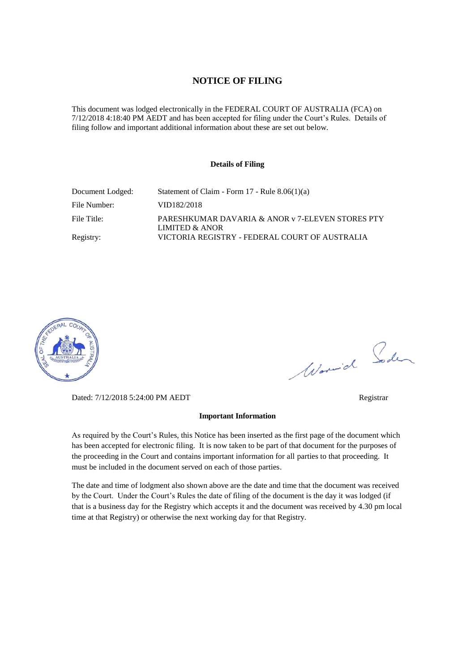#### **NOTICE OF FILING**

This document was lodged electronically in the FEDERAL COURT OF AUSTRALIA (FCA) on 7/12/2018 4:18:40 PM AEDT and has been accepted for filing under the Court's Rules. Details of filing follow and important additional information about these are set out below.

#### **Details of Filing**

| Document Lodged: | Statement of Claim - Form $17$ - Rule $8.06(1)(a)$                 |
|------------------|--------------------------------------------------------------------|
| File Number:     | VID182/2018                                                        |
| File Title:      | PARESHKUMAR DAVARIA & ANOR v 7-ELEVEN STORES PTY<br>LIMITED & ANOR |
| Registry:        | VICTORIA REGISTRY - FEDERAL COURT OF AUSTRALIA                     |



Worwich Soden

Dated: 7/12/2018 5:24:00 PM AEDT Registrar

#### **Important Information**

As required by the Court's Rules, this Notice has been inserted as the first page of the document which has been accepted for electronic filing. It is now taken to be part of that document for the purposes of the proceeding in the Court and contains important information for all parties to that proceeding. It must be included in the document served on each of those parties.

The date and time of lodgment also shown above are the date and time that the document was received by the Court. Under the Court's Rules the date of filing of the document is the day it was lodged (if that is a business day for the Registry which accepts it and the document was received by 4.30 pm local time at that Registry) or otherwise the next working day for that Registry.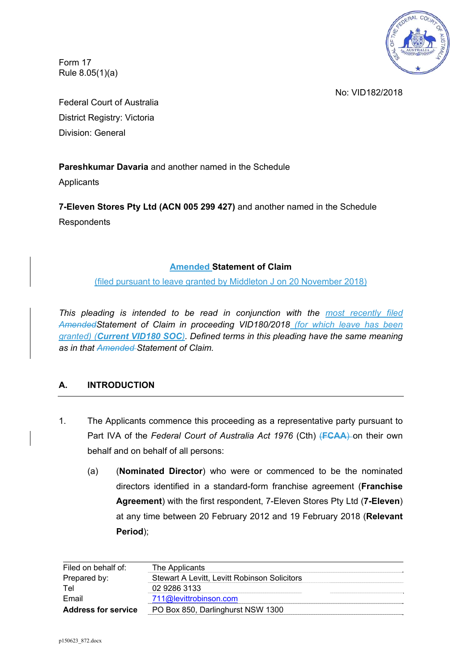

Form 17 Rule 8.05(1)(a)

No: VID182/2018

Federal Court of Australia District Registry: Victoria Division: General

## **Pareshkumar Davaria** and another named in the Schedule

Applicants

**7-Eleven Stores Pty Ltd (ACN 005 299 427)** and another named in the Schedule **Respondents** 

## **Amended Statement of Claim**

(filed pursuant to leave granted by Middleton J on 20 November 2018)

*This pleading is intended to be read in conjunction with the most recently filed AmendedStatement of Claim in proceeding VID180/2018 (for which leave has been granted) (Current VID180 SOC). Defined terms in this pleading have the same meaning as in that Amended Statement of Claim.* 

## **A. INTRODUCTION**

- 1. The Applicants commence this proceeding as a representative party pursuant to Part IVA of the *Federal Court of Australia Act 1976* (Cth) (**FCAA**) on their own behalf and on behalf of all persons:
	- (a) (**Nominated Director**) who were or commenced to be the nominated directors identified in a standard-form franchise agreement (**Franchise Agreement**) with the first respondent, 7-Eleven Stores Pty Ltd (**7-Eleven**) at any time between 20 February 2012 and 19 February 2018 (**Relevant Period**);

| Filed on behalf of:        | The Applicants                               |
|----------------------------|----------------------------------------------|
| Prepared by:               | Stewart A Levitt, Levitt Robinson Solicitors |
| Tel                        | 02 9286 3133                                 |
| Email                      | 711@levittrobinson.com                       |
| <b>Address for service</b> | PO Box 850, Darlinghurst NSW 1300            |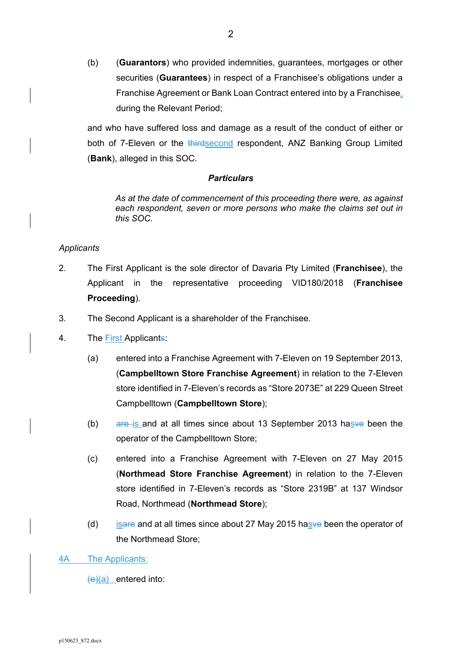(b) (**Guarantors**) who provided indemnities, guarantees, mortgages or other securities (**Guarantees**) in respect of a Franchisee's obligations under a Franchise Agreement or Bank Loan Contract entered into by a Franchisee, during the Relevant Period;

and who have suffered loss and damage as a result of the conduct of either or both of 7-Eleven or the thirdsecond respondent, ANZ Banking Group Limited (**Bank**), alleged in this SOC.

## *Particulars*

*As at the date of commencement of this proceeding there were, as against each respondent, seven or more persons who make the claims set out in this SOC.* 

### *Applicants*

- 2. The First Applicant is the sole director of Davaria Pty Limited (**Franchisee**), the Applicant in the representative proceeding VID180/2018 (**Franchisee Proceeding**).
- 3. The Second Applicant is a shareholder of the Franchisee.
- 4. The First Applicants:
	- (a) entered into a Franchise Agreement with 7-Eleven on 19 September 2013, (**Campbelltown Store Franchise Agreement**) in relation to the 7-Eleven store identified in 7-Eleven's records as "Store 2073E" at 229 Queen Street Campbelltown (**Campbelltown Store**);
	- (b) are is and at all times since about 13 September 2013 has ve been the operator of the Campbelltown Store;
	- (c) entered into a Franchise Agreement with 7-Eleven on 27 May 2015 (**Northmead Store Franchise Agreement**) in relation to the 7-Eleven store identified in 7-Eleven's records as "Store 2319B" at 137 Windsor Road, Northmead (**Northmead Store**);
	- (d) isare and at all times since about 27 May 2015 has ve been the operator of the Northmead Store;

4A The Applicants:

 $(e)(a)$  entered into: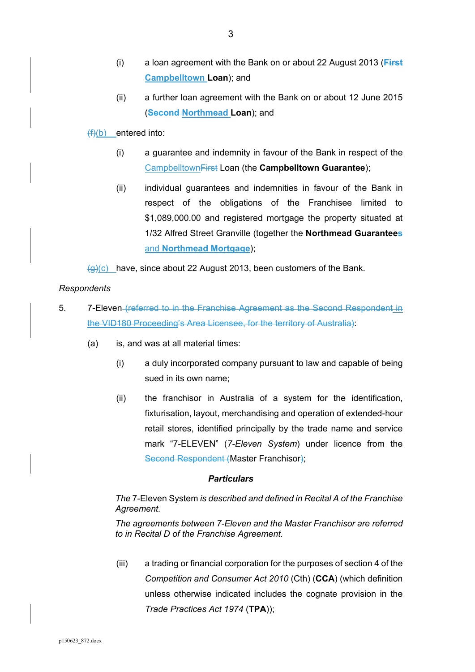- (i) a loan agreement with the Bank on or about 22 August 2013 (**First Campbelltown Loan**); and
- (ii) a further loan agreement with the Bank on or about 12 June 2015 (**Second Northmead Loan**); and

 $(f)(b)$  entered into:

- (i) a guarantee and indemnity in favour of the Bank in respect of the CampbelltownFirst Loan (the **Campbelltown Guarantee**);
- (ii) individual guarantees and indemnities in favour of the Bank in respect of the obligations of the Franchisee limited to \$1,089,000.00 and registered mortgage the property situated at 1/32 Alfred Street Granville (together the **Northmead Guarantees**  and **Northmead Mortgage**);

 $\left(\theta\right)(c)$  have, since about 22 August 2013, been customers of the Bank.

### *Respondents*

- 5. 7-Eleven (referred to in the Franchise Agreement as the Second Respondent in the VID180 Proceeding's Area Licensee, for the territory of Australia):
	- (a) is, and was at all material times:
		- (i) a duly incorporated company pursuant to law and capable of being sued in its own name;
		- (ii) the franchisor in Australia of a system for the identification, fixturisation, layout, merchandising and operation of extended-hour retail stores, identified principally by the trade name and service mark "7-ELEVEN" (*7-Eleven System*) under licence from the Second Respondent (Master Franchisor);

#### *Particulars*

## *The* 7-Eleven System *is described and defined in Recital A of the Franchise Agreement.*

*The agreements between 7-Eleven and the Master Franchisor are referred to in Recital D of the Franchise Agreement.* 

(iii) a trading or financial corporation for the purposes of section 4 of the *Competition and Consumer Act 2010* (Cth) (**CCA**) (which definition unless otherwise indicated includes the cognate provision in the *Trade Practices Act 1974* (**TPA**));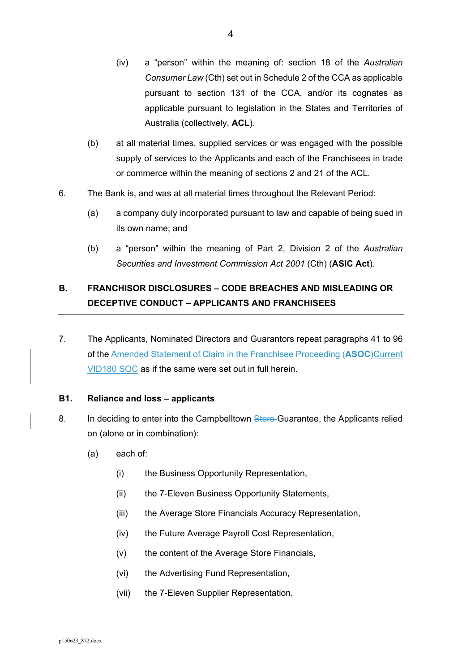- (iv) a "person" within the meaning of: section 18 of the *Australian Consumer Law* (Cth) set out in Schedule 2 of the CCA as applicable pursuant to section 131 of the CCA, and/or its cognates as applicable pursuant to legislation in the States and Territories of Australia (collectively, **ACL**).
- (b) at all material times, supplied services or was engaged with the possible supply of services to the Applicants and each of the Franchisees in trade or commerce within the meaning of sections 2 and 21 of the ACL.
- 6. The Bank is, and was at all material times throughout the Relevant Period:
	- (a) a company duly incorporated pursuant to law and capable of being sued in its own name; and
	- (b) a "person" within the meaning of Part 2, Division 2 of the *Australian Securities and Investment Commission Act 2001* (Cth) (**ASIC Act**).

# **B. FRANCHISOR DISCLOSURES – CODE BREACHES AND MISLEADING OR DECEPTIVE CONDUCT – APPLICANTS AND FRANCHISEES**

7. The Applicants, Nominated Directors and Guarantors repeat paragraphs 41 to 96 of the Amended Statement of Claim in the Franchisee Proceeding (**ASOC**)Current VID180 SOC as if the same were set out in full herein.

## **B1. Reliance and loss – applicants**

- 8. In deciding to enter into the Campbelltown Store-Guarantee, the Applicants relied on (alone or in combination):
	- (a) each of:
		- (i) the Business Opportunity Representation,
		- (ii) the 7-Eleven Business Opportunity Statements,
		- (iii) the Average Store Financials Accuracy Representation,
		- (iv) the Future Average Payroll Cost Representation,
		- (v) the content of the Average Store Financials,
		- (vi) the Advertising Fund Representation,
		- (vii) the 7-Eleven Supplier Representation,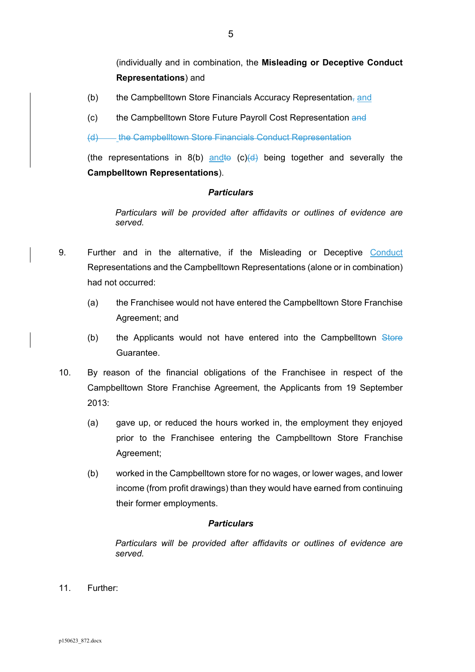(individually and in combination, the **Misleading or Deceptive Conduct Representations**) and

- (b) the Campbelltown Store Financials Accuracy Representation<sub> $\tau$ </sub> and
- (c) the Campbelltown Store Future Payroll Cost Representation and

(d) the Campbelltown Store Financials Conduct Representation

(the representations in  $8(b)$  and to  $(c)(d)$  being together and severally the **Campbelltown Representations**).

#### *Particulars*

*Particulars will be provided after affidavits or outlines of evidence are served.* 

- 9. Further and in the alternative, if the Misleading or Deceptive Conduct Representations and the Campbelltown Representations (alone or in combination) had not occurred:
	- (a) the Franchisee would not have entered the Campbelltown Store Franchise Agreement; and
	- (b) the Applicants would not have entered into the Campbelltown Store Guarantee.
- 10. By reason of the financial obligations of the Franchisee in respect of the Campbelltown Store Franchise Agreement, the Applicants from 19 September 2013:
	- (a) gave up, or reduced the hours worked in, the employment they enjoyed prior to the Franchisee entering the Campbelltown Store Franchise Agreement;
	- (b) worked in the Campbelltown store for no wages, or lower wages, and lower income (from profit drawings) than they would have earned from continuing their former employments.

#### *Particulars*

*Particulars will be provided after affidavits or outlines of evidence are served.* 

11. Further: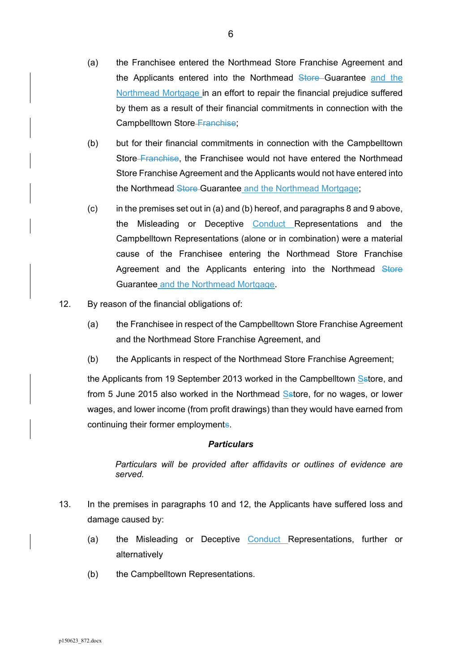- (a) the Franchisee entered the Northmead Store Franchise Agreement and the Applicants entered into the Northmead Store Guarantee and the Northmead Mortgage in an effort to repair the financial prejudice suffered by them as a result of their financial commitments in connection with the Campbelltown Store Franchise;
- (b) but for their financial commitments in connection with the Campbelltown Store Franchise, the Franchisee would not have entered the Northmead Store Franchise Agreement and the Applicants would not have entered into the Northmead Store Guarantee and the Northmead Mortgage;
- (c) in the premises set out in (a) and (b) hereof, and paragraphs 8 and 9 above, the Misleading or Deceptive Conduct Representations and the Campbelltown Representations (alone or in combination) were a material cause of the Franchisee entering the Northmead Store Franchise Agreement and the Applicants entering into the Northmead Store Guarantee and the Northmead Mortgage.
- 12. By reason of the financial obligations of:
	- (a) the Franchisee in respect of the Campbelltown Store Franchise Agreement and the Northmead Store Franchise Agreement, and
	- (b) the Applicants in respect of the Northmead Store Franchise Agreement;

the Applicants from 19 September 2013 worked in the Campbelltown Sstore, and from 5 June 2015 also worked in the Northmead Sstore, for no wages, or lower wages, and lower income (from profit drawings) than they would have earned from continuing their former employments.

## *Particulars*

*Particulars will be provided after affidavits or outlines of evidence are served.* 

- 13. In the premises in paragraphs 10 and 12, the Applicants have suffered loss and damage caused by:
	- (a) the Misleading or Deceptive Conduct Representations, further or alternatively
	- (b) the Campbelltown Representations.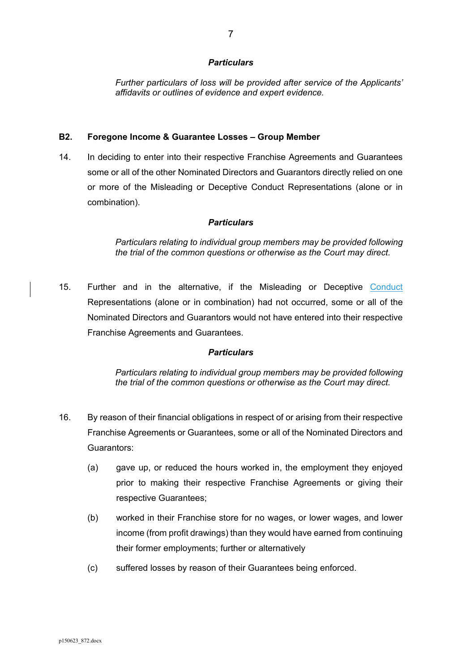*Further particulars of loss will be provided after service of the Applicants' affidavits or outlines of evidence and expert evidence.* 

#### **B2. Foregone Income & Guarantee Losses – Group Member**

14. In deciding to enter into their respective Franchise Agreements and Guarantees some or all of the other Nominated Directors and Guarantors directly relied on one or more of the Misleading or Deceptive Conduct Representations (alone or in combination).

## *Particulars*

*Particulars relating to individual group members may be provided following the trial of the common questions or otherwise as the Court may direct.* 

15. Further and in the alternative, if the Misleading or Deceptive Conduct Representations (alone or in combination) had not occurred, some or all of the Nominated Directors and Guarantors would not have entered into their respective Franchise Agreements and Guarantees.

#### *Particulars*

*Particulars relating to individual group members may be provided following the trial of the common questions or otherwise as the Court may direct.* 

- 16. By reason of their financial obligations in respect of or arising from their respective Franchise Agreements or Guarantees, some or all of the Nominated Directors and Guarantors:
	- (a) gave up, or reduced the hours worked in, the employment they enjoyed prior to making their respective Franchise Agreements or giving their respective Guarantees;
	- (b) worked in their Franchise store for no wages, or lower wages, and lower income (from profit drawings) than they would have earned from continuing their former employments; further or alternatively
	- (c) suffered losses by reason of their Guarantees being enforced.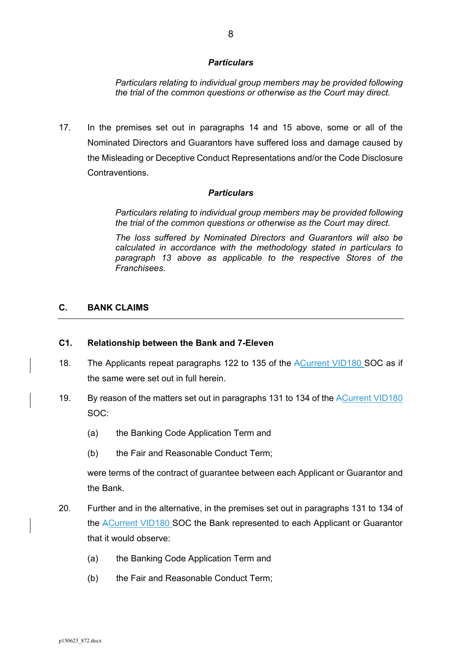*Particulars relating to individual group members may be provided following the trial of the common questions or otherwise as the Court may direct.* 

17. In the premises set out in paragraphs 14 and 15 above, some or all of the Nominated Directors and Guarantors have suffered loss and damage caused by the Misleading or Deceptive Conduct Representations and/or the Code Disclosure **Contraventions** 

#### *Particulars*

*Particulars relating to individual group members may be provided following the trial of the common questions or otherwise as the Court may direct.* 

*The loss suffered by Nominated Directors and Guarantors will also be calculated in accordance with the methodology stated in particulars to paragraph 13 above as applicable to the respective Stores of the Franchisees.* 

### **C. BANK CLAIMS**

#### **C1. Relationship between the Bank and 7-Eleven**

- 18. The Applicants repeat paragraphs 122 to 135 of the ACurrent VID180 SOC as if the same were set out in full herein.
- 19. By reason of the matters set out in paragraphs 131 to 134 of the ACurrent VID180 SOC:
	- (a) the Banking Code Application Term and
	- (b) the Fair and Reasonable Conduct Term;

were terms of the contract of guarantee between each Applicant or Guarantor and the Bank.

- 20. Further and in the alternative, in the premises set out in paragraphs 131 to 134 of the ACurrent VID180 SOC the Bank represented to each Applicant or Guarantor that it would observe:
	- (a) the Banking Code Application Term and
	- (b) the Fair and Reasonable Conduct Term;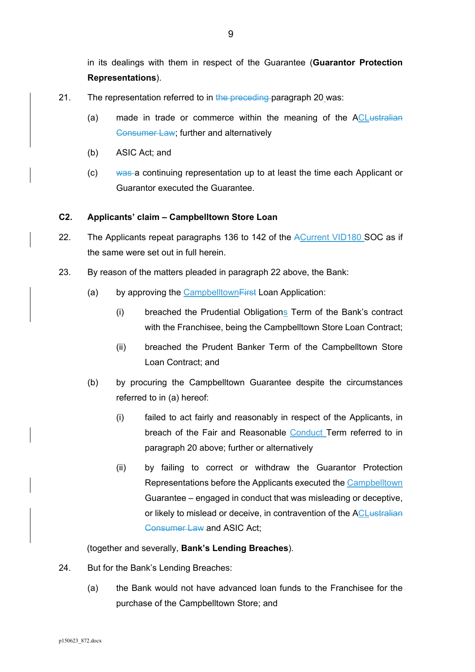in its dealings with them in respect of the Guarantee (**Guarantor Protection Representations**).

- 21. The representation referred to in the preceding paragraph 20 was:
	- (a) made in trade or commerce within the meaning of the ACLustralian Consumer Law; further and alternatively
	- (b) ASIC Act; and
	- (c) was a continuing representation up to at least the time each Applicant or Guarantor executed the Guarantee.

## **C2. Applicants' claim – Campbelltown Store Loan**

- 22. The Applicants repeat paragraphs 136 to 142 of the ACurrent VID180 SOC as if the same were set out in full herein.
- 23. By reason of the matters pleaded in paragraph 22 above, the Bank:
	- (a) by approving the Campbelltown First Loan Application:
		- (i) breached the Prudential Obligations Term of the Bank's contract with the Franchisee, being the Campbelltown Store Loan Contract;
		- (ii) breached the Prudent Banker Term of the Campbelltown Store Loan Contract; and
	- (b) by procuring the Campbelltown Guarantee despite the circumstances referred to in (a) hereof:
		- (i) failed to act fairly and reasonably in respect of the Applicants, in breach of the Fair and Reasonable Conduct Term referred to in paragraph 20 above; further or alternatively
		- (ii) by failing to correct or withdraw the Guarantor Protection Representations before the Applicants executed the Campbelltown Guarantee – engaged in conduct that was misleading or deceptive, or likely to mislead or deceive, in contravention of the ACL ustralian Consumer Law and ASIC Act;

(together and severally, **Bank's Lending Breaches**).

- 24. But for the Bank's Lending Breaches:
	- (a) the Bank would not have advanced loan funds to the Franchisee for the purchase of the Campbelltown Store; and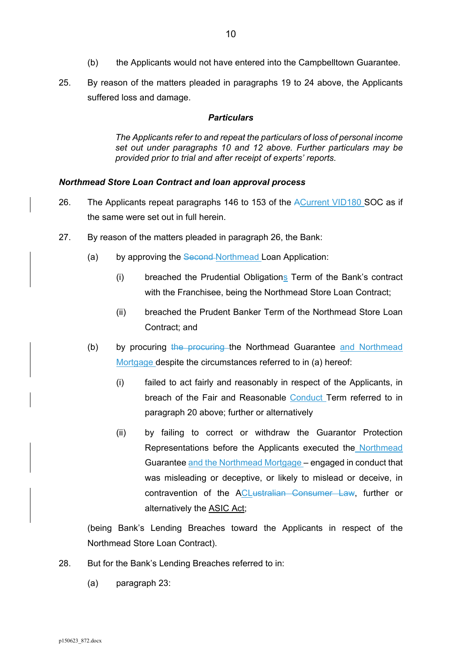- (b) the Applicants would not have entered into the Campbelltown Guarantee.
- 25. By reason of the matters pleaded in paragraphs 19 to 24 above, the Applicants suffered loss and damage.

*The Applicants refer to and repeat the particulars of loss of personal income set out under paragraphs 10 and 12 above. Further particulars may be provided prior to trial and after receipt of experts' reports.* 

#### *Northmead Store Loan Contract and loan approval process*

- 26. The Applicants repeat paragraphs 146 to 153 of the ACurrent VID180 SOC as if the same were set out in full herein.
- 27. By reason of the matters pleaded in paragraph 26, the Bank:
	- (a) by approving the Second-Northmead Loan Application:
		- (i) breached the Prudential Obligations Term of the Bank's contract with the Franchisee, being the Northmead Store Loan Contract;
		- (ii) breached the Prudent Banker Term of the Northmead Store Loan Contract; and
	- (b) by procuring the procuring the Northmead Guarantee and Northmead Mortgage despite the circumstances referred to in (a) hereof:
		- (i) failed to act fairly and reasonably in respect of the Applicants, in breach of the Fair and Reasonable Conduct Term referred to in paragraph 20 above; further or alternatively
		- (ii) by failing to correct or withdraw the Guarantor Protection Representations before the Applicants executed the Northmead Guarantee and the Northmead Mortgage – engaged in conduct that was misleading or deceptive, or likely to mislead or deceive, in contravention of the ACLustralian Consumer Law, further or alternatively the ASIC Act;

(being Bank's Lending Breaches toward the Applicants in respect of the Northmead Store Loan Contract).

- 28. But for the Bank's Lending Breaches referred to in:
	- (a) paragraph 23: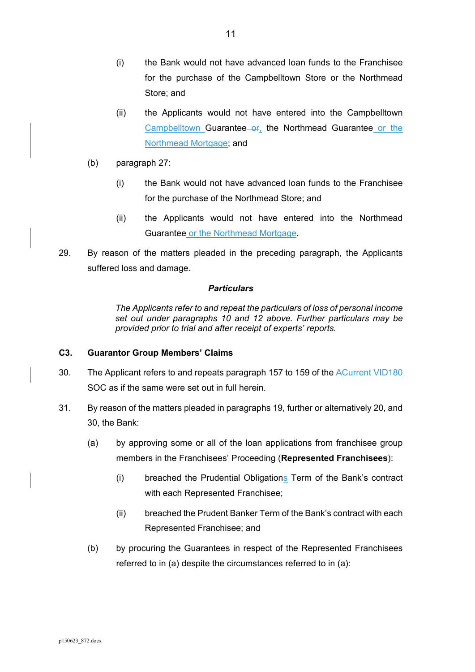- (i) the Bank would not have advanced loan funds to the Franchisee for the purchase of the Campbelltown Store or the Northmead Store; and
- (ii) the Applicants would not have entered into the Campbelltown Campbelltown Guarantee or, the Northmead Guarantee or the Northmead Mortgage; and
- (b) paragraph 27:
	- (i) the Bank would not have advanced loan funds to the Franchisee for the purchase of the Northmead Store; and
	- (ii) the Applicants would not have entered into the Northmead Guarantee or the Northmead Mortgage.
- 29. By reason of the matters pleaded in the preceding paragraph, the Applicants suffered loss and damage.

*The Applicants refer to and repeat the particulars of loss of personal income set out under paragraphs 10 and 12 above. Further particulars may be provided prior to trial and after receipt of experts' reports.* 

## **C3. Guarantor Group Members' Claims**

- 30. The Applicant refers to and repeats paragraph 157 to 159 of the ACurrent VID180 SOC as if the same were set out in full herein.
- 31. By reason of the matters pleaded in paragraphs 19, further or alternatively 20, and 30, the Bank:
	- (a) by approving some or all of the loan applications from franchisee group members in the Franchisees' Proceeding (**Represented Franchisees**):
		- (i) breached the Prudential Obligations Term of the Bank's contract with each Represented Franchisee;
		- (ii) breached the Prudent Banker Term of the Bank's contract with each Represented Franchisee; and
	- (b) by procuring the Guarantees in respect of the Represented Franchisees referred to in (a) despite the circumstances referred to in (a):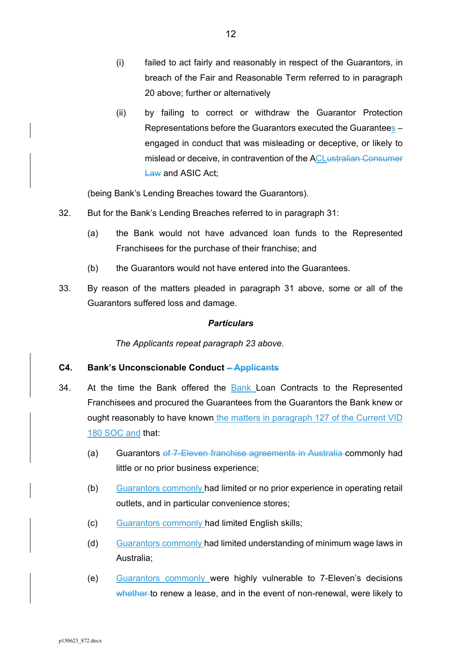- (i) failed to act fairly and reasonably in respect of the Guarantors, in breach of the Fair and Reasonable Term referred to in paragraph 20 above; further or alternatively
- (ii) by failing to correct or withdraw the Guarantor Protection Representations before the Guarantors executed the Guarantees – engaged in conduct that was misleading or deceptive, or likely to mislead or deceive, in contravention of the ACLustralian Consumer Law and ASIC Act:

(being Bank's Lending Breaches toward the Guarantors).

- 32. But for the Bank's Lending Breaches referred to in paragraph 31:
	- (a) the Bank would not have advanced loan funds to the Represented Franchisees for the purchase of their franchise; and
	- (b) the Guarantors would not have entered into the Guarantees.
- 33. By reason of the matters pleaded in paragraph 31 above, some or all of the Guarantors suffered loss and damage.

### *Particulars*

*The Applicants repeat paragraph 23 above.* 

## **C4. Bank's Unconscionable Conduct – Applicants**

- 34. At the time the Bank offered the Bank Loan Contracts to the Represented Franchisees and procured the Guarantees from the Guarantors the Bank knew or ought reasonably to have known the matters in paragraph 127 of the Current VID 180 SOC and that:
	- (a) Guarantors of 7-Eleven franchise agreements in Australia commonly had little or no prior business experience;
	- (b) Guarantors commonly had limited or no prior experience in operating retail outlets, and in particular convenience stores;
	- (c) Guarantors commonly had limited English skills;
	- (d) Guarantors commonly had limited understanding of minimum wage laws in Australia;
	- (e) Guarantors commonly were highly vulnerable to 7-Eleven's decisions whether to renew a lease, and in the event of non-renewal, were likely to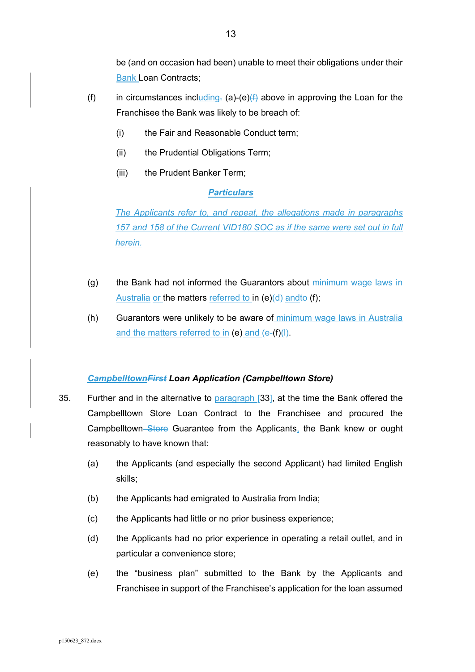be (and on occasion had been) unable to meet their obligations under their Bank Loan Contracts;

- (f) in circumstances including. (a)-(e) $(f)$  above in approving the Loan for the Franchisee the Bank was likely to be breach of:
	- (i) the Fair and Reasonable Conduct term;
	- (ii) the Prudential Obligations Term;
	- (iii) the Prudent Banker Term;

## *Particulars*

*The Applicants refer to, and repeat, the allegations made in paragraphs 157 and 158 of the Current VID180 SOC as if the same were set out in full herein.* 

- (g) the Bank had not informed the Guarantors about minimum wage laws in Australia or the matters referred to in  $(e)(d)$  and to (f);
- (h) Guarantors were unlikely to be aware of minimum wage laws in Australia and the matters referred to in (e) and  $\left\{e^{-(f)}\right\}$ .

## *CampbelltownFirst Loan Application (Campbelltown Store)*

- 35. Further and in the alternative to paragraph [33], at the time the Bank offered the Campbelltown Store Loan Contract to the Franchisee and procured the Campbelltown Store Guarantee from the Applicants, the Bank knew or ought reasonably to have known that:
	- (a) the Applicants (and especially the second Applicant) had limited English skills;
	- (b) the Applicants had emigrated to Australia from India;
	- (c) the Applicants had little or no prior business experience;
	- (d) the Applicants had no prior experience in operating a retail outlet, and in particular a convenience store;
	- (e) the "business plan" submitted to the Bank by the Applicants and Franchisee in support of the Franchisee's application for the loan assumed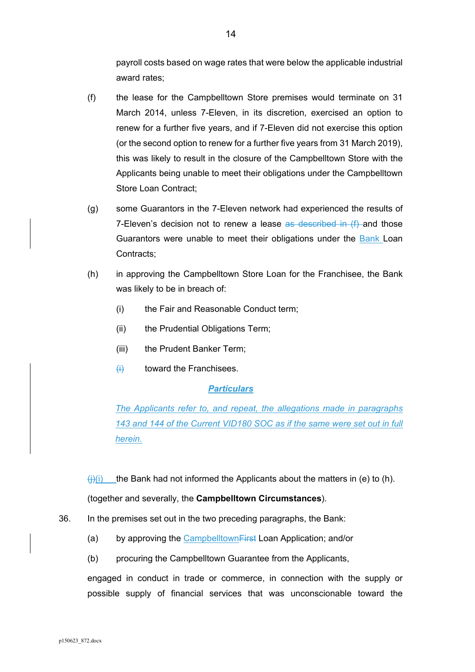payroll costs based on wage rates that were below the applicable industrial award rates;

- (f) the lease for the Campbelltown Store premises would terminate on 31 March 2014, unless 7-Eleven, in its discretion, exercised an option to renew for a further five years, and if 7-Eleven did not exercise this option (or the second option to renew for a further five years from 31 March 2019), this was likely to result in the closure of the Campbelltown Store with the Applicants being unable to meet their obligations under the Campbelltown Store Loan Contract;
- (g) some Guarantors in the 7-Eleven network had experienced the results of 7-Eleven's decision not to renew a lease  $\frac{1}{x}$  described in (f) and those Guarantors were unable to meet their obligations under the Bank Loan Contracts;
- (h) in approving the Campbelltown Store Loan for the Franchisee, the Bank was likely to be in breach of:
	- (i) the Fair and Reasonable Conduct term;
	- (ii) the Prudential Obligations Term;
	- (iii) the Prudent Banker Term;
	- $\overline{f}$  toward the Franchisees.

## *Particulars*

*The Applicants refer to, and repeat, the allegations made in paragraphs 143 and 144 of the Current VID180 SOC as if the same were set out in full herein.* 

(i)(i) the Bank had not informed the Applicants about the matters in (e) to (h).

(together and severally, the **Campbelltown Circumstances**).

- 36. In the premises set out in the two preceding paragraphs, the Bank:
	- (a) by approving the Campbelltown<del>First</del> Loan Application; and/or
	- (b) procuring the Campbelltown Guarantee from the Applicants,

engaged in conduct in trade or commerce, in connection with the supply or possible supply of financial services that was unconscionable toward the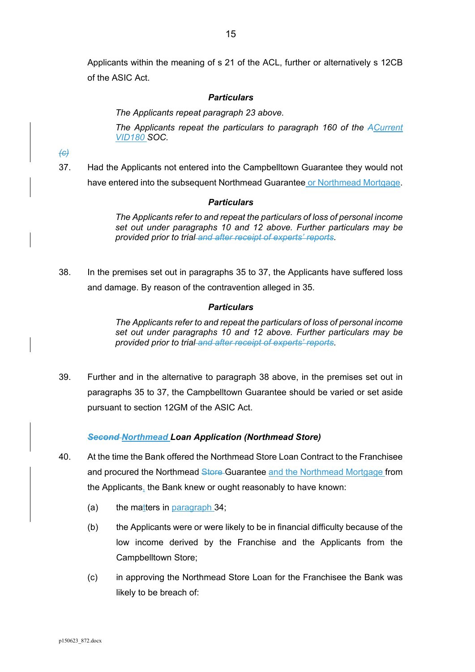Applicants within the meaning of s 21 of the ACL, further or alternatively s 12CB of the ASIC Act.

#### *Particulars*

*The Applicants repeat paragraph 23 above.* 

*The Applicants repeat the particulars to paragraph 160 of the ACurrent VID180 SOC.* 

*(c)*

37. Had the Applicants not entered into the Campbelltown Guarantee they would not have entered into the subsequent Northmead Guarantee or Northmead Mortgage.

### *Particulars*

*The Applicants refer to and repeat the particulars of loss of personal income set out under paragraphs 10 and 12 above. Further particulars may be provided prior to trial and after receipt of experts' reports.* 

38. In the premises set out in paragraphs 35 to 37, the Applicants have suffered loss and damage. By reason of the contravention alleged in 35.

#### *Particulars*

*The Applicants refer to and repeat the particulars of loss of personal income set out under paragraphs 10 and 12 above. Further particulars may be provided prior to trial and after receipt of experts' reports.* 

39. Further and in the alternative to paragraph 38 above, in the premises set out in paragraphs 35 to 37, the Campbelltown Guarantee should be varied or set aside pursuant to section 12GM of the ASIC Act.

## *Second Northmead Loan Application (Northmead Store)*

- 40. At the time the Bank offered the Northmead Store Loan Contract to the Franchisee and procured the Northmead Store Guarantee and the Northmead Mortgage from the Applicants, the Bank knew or ought reasonably to have known:
	- (a) the matters in  $parammath>$
	- (b) the Applicants were or were likely to be in financial difficulty because of the low income derived by the Franchise and the Applicants from the Campbelltown Store;
	- (c) in approving the Northmead Store Loan for the Franchisee the Bank was likely to be breach of: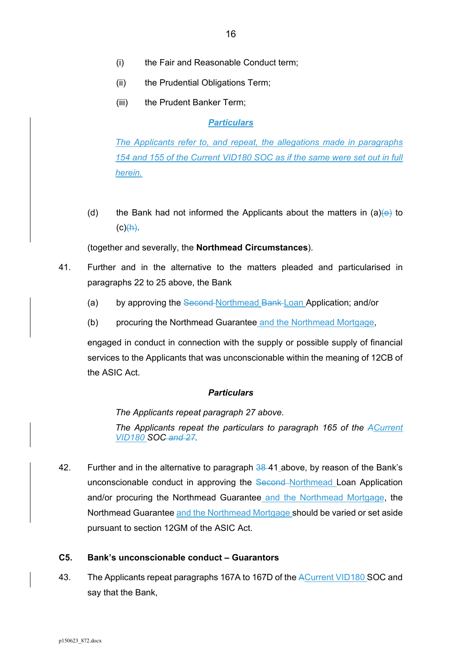- (ii) the Prudential Obligations Term;
- (iii) the Prudent Banker Term:

*The Applicants refer to, and repeat, the allegations made in paragraphs 154 and 155 of the Current VID180 SOC as if the same were set out in full herein.* 

(d) the Bank had not informed the Applicants about the matters in (a) $\leftrightarrow$  to  $(c)$  $(h)$ .

(together and severally, the **Northmead Circumstances**).

- 41. Further and in the alternative to the matters pleaded and particularised in paragraphs 22 to 25 above, the Bank
	- (a) by approving the Second Northmead Bank Loan Application; and/or
	- (b) procuring the Northmead Guarantee and the Northmead Mortgage,

engaged in conduct in connection with the supply or possible supply of financial services to the Applicants that was unconscionable within the meaning of 12CB of the ASIC Act.

#### *Particulars*

*The Applicants repeat paragraph 27 above.* 

*The Applicants repeat the particulars to paragraph 165 of the ACurrent VID180 SOC and 27.* 

42. Further and in the alternative to paragraph 38-41 above, by reason of the Bank's unconscionable conduct in approving the Second-Northmead Loan Application and/or procuring the Northmead Guarantee and the Northmead Mortgage, the Northmead Guarantee and the Northmead Mortgage should be varied or set aside pursuant to section 12GM of the ASIC Act.

#### **C5. Bank's unconscionable conduct – Guarantors**

43. The Applicants repeat paragraphs 167A to 167D of the ACurrent VID180 SOC and say that the Bank,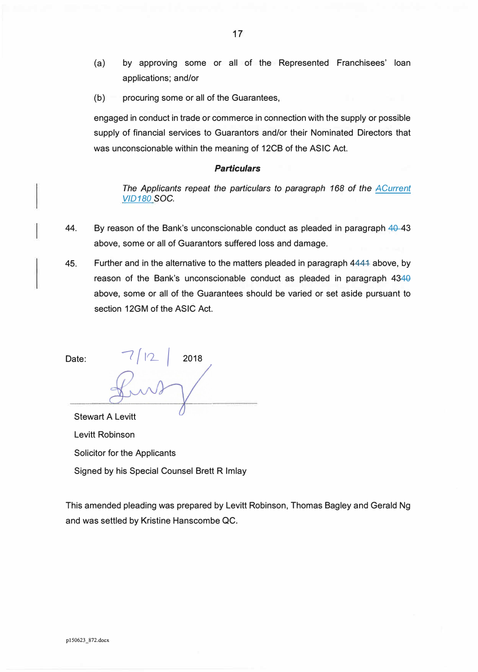- (a) by approving some or all of the Represented Franchisees' loan applications; and/or
- (b) procuring some or all of the Guarantees,

engaged in conduct in trade or commerce in connection with the supply or possible supply of financial services to Guarantors and/or their Nominated Directors that was unconscionable within the meaning of 12CB of the ASIC Act.

#### *Particulars*

*The Applicants repeat the particulars to paragraph 168 of the ACurrent VID180* SOC.

- 44. By reason of the Bank's unconscionable conduct as pleaded in paragraph 40-43 above, some or all of Guarantors suffered loss and damage.
- 45. Further and in the alternative to the matters pleaded in paragraph 4444 above, by reason of the Bank's unconscionable conduct as pleaded in paragraph 4340 above, some or all of the Guarantees should be varied or set aside pursuant to section 12GM of the ASIC Act.

Date:  $7/12$  2018

Stewart A Levitt Levitt Robinson Solicitor for the Applicants

Signed by his Special Counsel Brett R Imlay

This amended pleading was prepared by Levitt Robinson, Thomas Bagley and Gerald Ng and was settled by Kristine Hanscombe QC.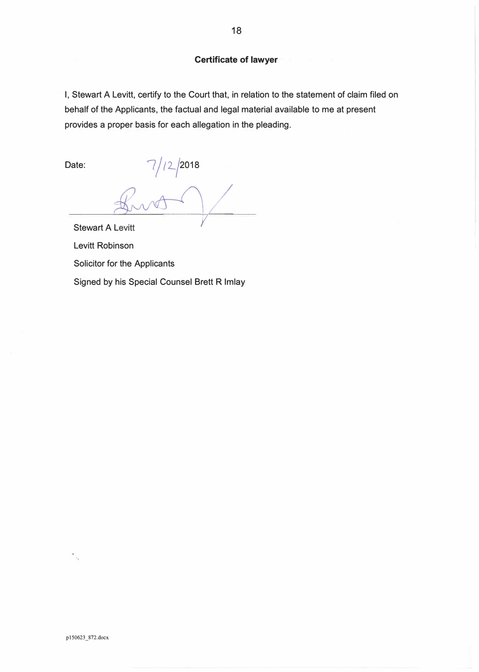### **Certificate of lawyer**

I, Stewart A Levitt, certify to the Court that, in relation to the statement of claim filed on behalf of the Applicants, the factual and legal material available to me at present provides a proper basis for each allegation in the pleading.

Date:

 $7/12/2018$ **Stewart A Levitt** 

Levitt Robinson

Solicitor for the Applicants

Signed by his Special Counsel Brett R Imlay

pl50623\_872.docx

 $\frac{1}{2}$